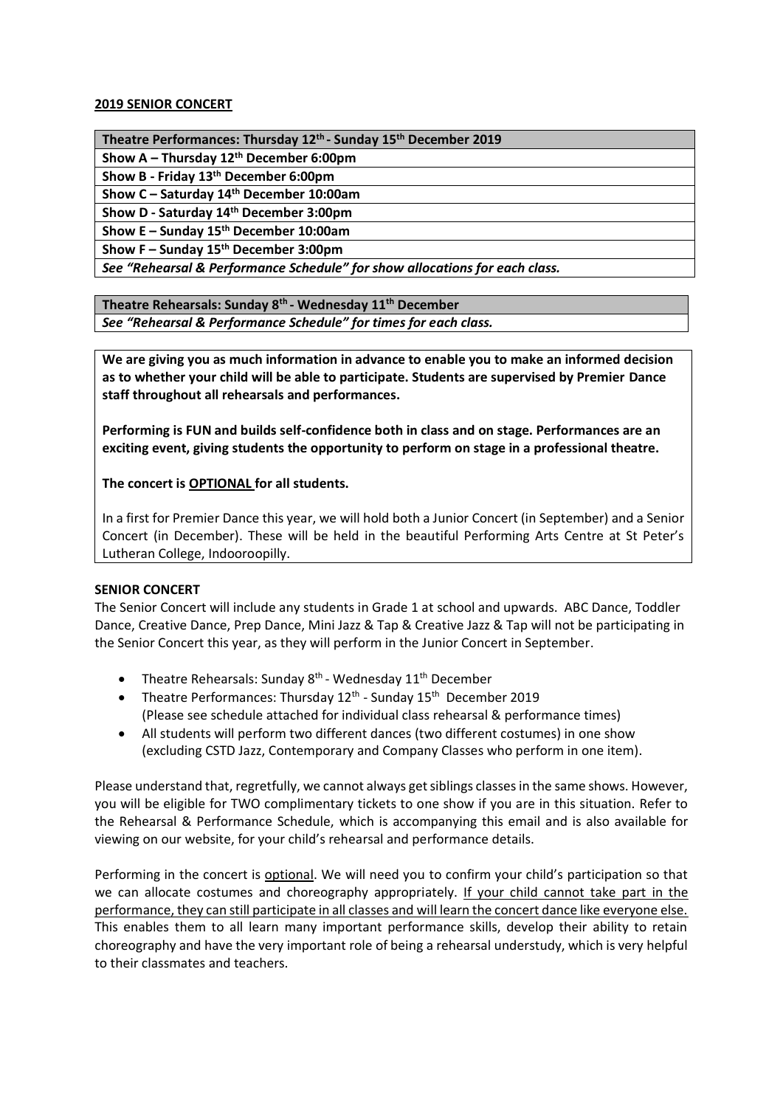## **2019 SENIOR CONCERT**

**Theatre Performances: Thursday 12th - Sunday 15th December 2019**

**Show A – Thursday 12th December 6:00pm**

**Show B - Friday 13th December 6:00pm**

**Show C – Saturday 14th December 10:00am**

**Show D - Saturday 14th December 3:00pm**

**Show E – Sunday 15th December 10:00am**

**Show F – Sunday 15th December 3:00pm**

*See "Rehearsal & Performance Schedule" for show allocations for each class.* 

**Theatre Rehearsals: Sunday 8th - Wednesday 11th December**

*See "Rehearsal & Performance Schedule" for times for each class.* 

**We are giving you as much information in advance to enable you to make an informed decision as to whether your child will be able to participate. Students are supervised by Premier Dance staff throughout all rehearsals and performances.**

**Performing is FUN and builds self-confidence both in class and on stage. Performances are an exciting event, giving students the opportunity to perform on stage in a professional theatre.** 

**The concert is OPTIONAL for all students.**

In a first for Premier Dance this year, we will hold both a Junior Concert (in September) and a Senior Concert (in December). These will be held in the beautiful Performing Arts Centre at St Peter's Lutheran College, Indooroopilly.

## **SENIOR CONCERT**

The Senior Concert will include any students in Grade 1 at school and upwards. ABC Dance, Toddler Dance, Creative Dance, Prep Dance, Mini Jazz & Tap & Creative Jazz & Tap will not be participating in the Senior Concert this year, as they will perform in the Junior Concert in September.

- Theatre Rehearsals: Sunday  $8<sup>th</sup>$  Wednesday 11<sup>th</sup> December
- Theatre Performances: Thursday 12<sup>th</sup> Sunday 15<sup>th</sup> December 2019 (Please see schedule attached for individual class rehearsal & performance times)
- All students will perform two different dances (two different costumes) in one show (excluding CSTD Jazz, Contemporary and Company Classes who perform in one item).

Please understand that, regretfully, we cannot always get siblings classes in the same shows. However, you will be eligible for TWO complimentary tickets to one show if you are in this situation. Refer to the Rehearsal & Performance Schedule, which is accompanying this email and is also available for viewing on our website, for your child's rehearsal and performance details.

Performing in the concert is optional. We will need you to confirm your child's participation so that we can allocate costumes and choreography appropriately. If your child cannot take part in the performance, they can still participate in all classes and will learn the concert dance like everyone else. This enables them to all learn many important performance skills, develop their ability to retain choreography and have the very important role of being a rehearsal understudy, which is very helpful to their classmates and teachers.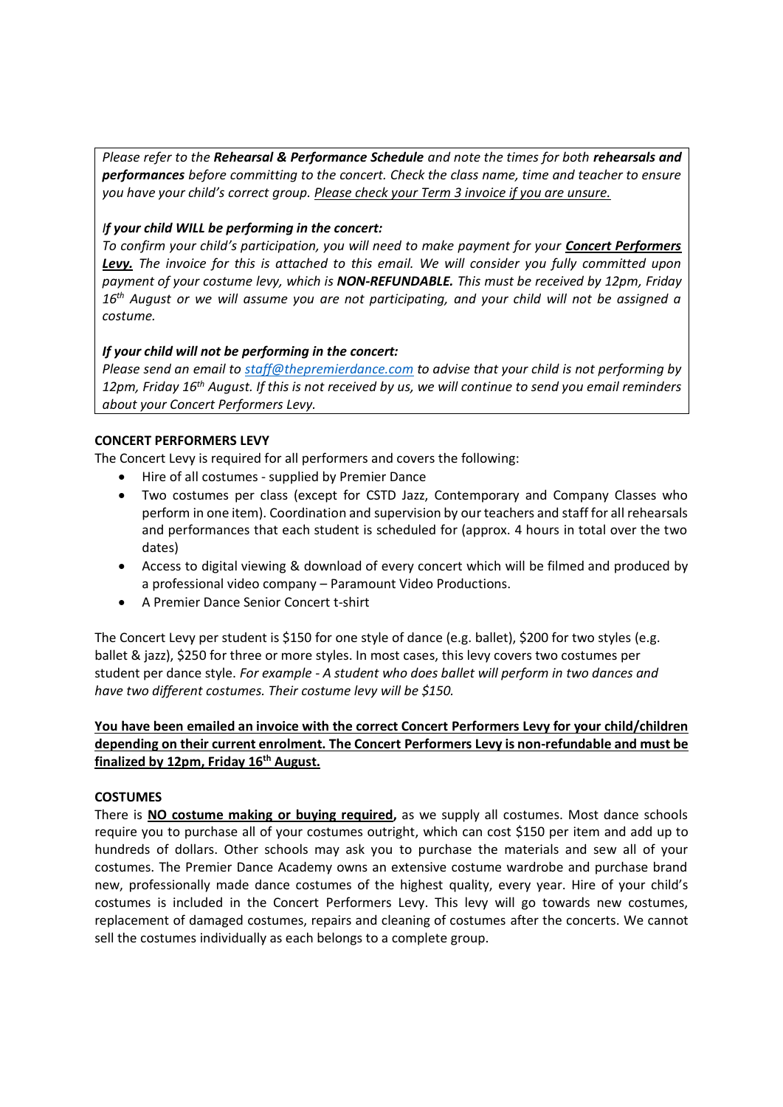*Please refer to the Rehearsal & Performance Schedule and note the times for both rehearsals and performances before committing to the concert. Check the class name, time and teacher to ensure you have your child's correct group. Please check your Term 3 invoice if you are unsure.*

# *If your child WILL be performing in the concert:*

*To confirm your child's participation, you will need to make payment for your Concert Performers Levy. The invoice for this is attached to this email. We will consider you fully committed upon payment of your costume levy, which is NON-REFUNDABLE. This must be received by 12pm, Friday 16th August or we will assume you are not participating, and your child will not be assigned a costume.* 

# *If your child will not be performing in the concert:*

*Please send an email to [staff@thepremierdance.com](mailto:staff@thepremierdance.com) to advise that your child is not performing by 12pm, Friday 16th August. If this is not received by us, we will continue to send you email reminders about your Concert Performers Levy.*

# **CONCERT PERFORMERS LEVY**

The Concert Levy is required for all performers and covers the following:

- Hire of all costumes supplied by Premier Dance
- Two costumes per class (except for CSTD Jazz, Contemporary and Company Classes who perform in one item). Coordination and supervision by our teachers and staff for all rehearsals and performances that each student is scheduled for (approx. 4 hours in total over the two dates)
- Access to digital viewing & download of every concert which will be filmed and produced by a professional video company – Paramount Video Productions.
- A Premier Dance Senior Concert t-shirt

The Concert Levy per student is \$150 for one style of dance (e.g. ballet), \$200 for two styles (e.g. ballet & jazz), \$250 for three or more styles. In most cases, this levy covers two costumes per student per dance style. *For example - A student who does ballet will perform in two dances and have two different costumes. Their costume levy will be \$150.*

# **You have been emailed an invoice with the correct Concert Performers Levy for your child/children depending on their current enrolment. The Concert Performers Levy is non-refundable and must be finalized by 12pm, Friday 16th August.**

## **COSTUMES**

There is **NO costume making or buying required,** as we supply all costumes. Most dance schools require you to purchase all of your costumes outright, which can cost \$150 per item and add up to hundreds of dollars. Other schools may ask you to purchase the materials and sew all of your costumes. The Premier Dance Academy owns an extensive costume wardrobe and purchase brand new, professionally made dance costumes of the highest quality, every year. Hire of your child's costumes is included in the Concert Performers Levy. This levy will go towards new costumes, replacement of damaged costumes, repairs and cleaning of costumes after the concerts. We cannot sell the costumes individually as each belongs to a complete group.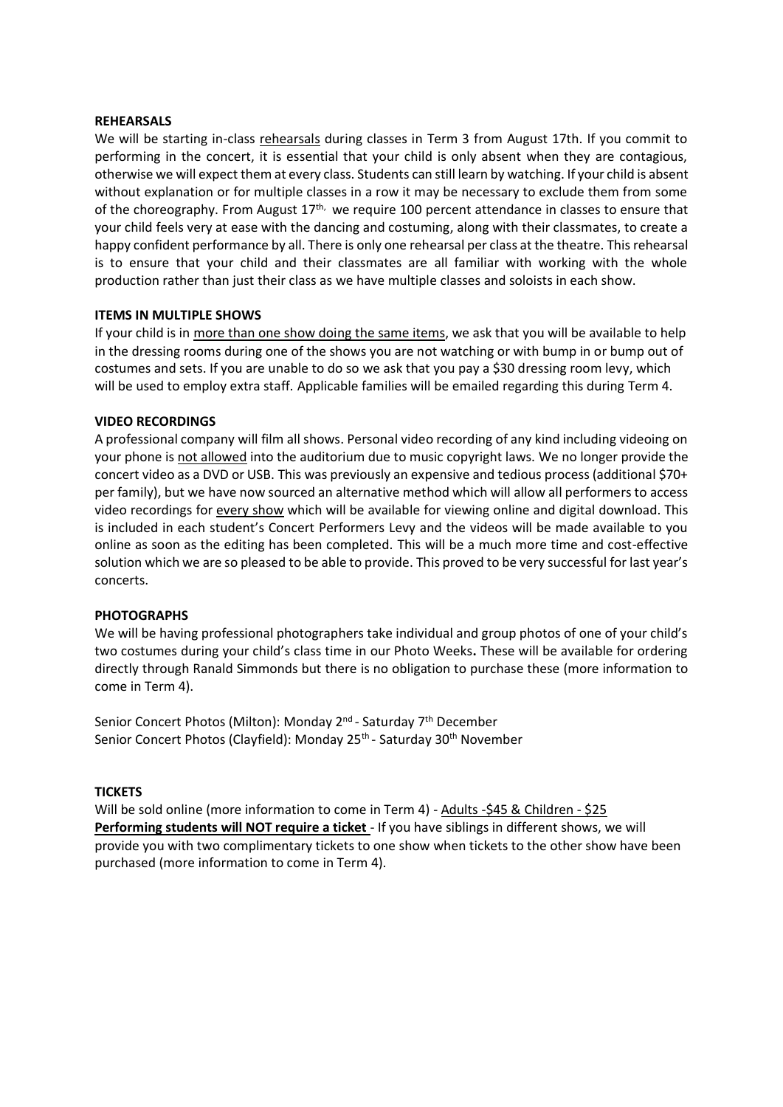### **REHEARSALS**

We will be starting in-class rehearsals during classes in Term 3 from August 17th. If you commit to performing in the concert, it is essential that your child is only absent when they are contagious, otherwise we will expect them at every class. Students can still learn by watching. If your child is absent without explanation or for multiple classes in a row it may be necessary to exclude them from some of the choreography. From August  $17<sup>th</sup>$ , we require 100 percent attendance in classes to ensure that your child feels very at ease with the dancing and costuming, along with their classmates, to create a happy confident performance by all. There is only one rehearsal per class at the theatre. This rehearsal is to ensure that your child and their classmates are all familiar with working with the whole production rather than just their class as we have multiple classes and soloists in each show.

### **ITEMS IN MULTIPLE SHOWS**

If your child is in more than one show doing the same items, we ask that you will be available to help in the dressing rooms during one of the shows you are not watching or with bump in or bump out of costumes and sets. If you are unable to do so we ask that you pay a \$30 dressing room levy, which will be used to employ extra staff. Applicable families will be emailed regarding this during Term 4.

### **VIDEO RECORDINGS**

A professional company will film all shows. Personal video recording of any kind including videoing on your phone is not allowed into the auditorium due to music copyright laws. We no longer provide the concert video as a DVD or USB. This was previously an expensive and tedious process (additional \$70+ per family), but we have now sourced an alternative method which will allow all performers to access video recordings for every show which will be available for viewing online and digital download. This is included in each student's Concert Performers Levy and the videos will be made available to you online as soon as the editing has been completed. This will be a much more time and cost-effective solution which we are so pleased to be able to provide. This proved to be very successful for last year's concerts.

#### **PHOTOGRAPHS**

We will be having professional photographers take individual and group photos of one of your child's two costumes during your child's class time in our Photo Weeks**.** These will be available for ordering directly through Ranald Simmonds but there is no obligation to purchase these (more information to come in Term 4).

Senior Concert Photos (Milton): Monday 2<sup>nd</sup> - Saturday 7<sup>th</sup> December Senior Concert Photos (Clayfield): Monday 25<sup>th</sup> - Saturday 30<sup>th</sup> November

#### **TICKETS**

Will be sold online (more information to come in Term 4) - Adults -\$45 & Children - \$25 **Performing students will NOT require a ticket** - If you have siblings in different shows, we will provide you with two complimentary tickets to one show when tickets to the other show have been purchased (more information to come in Term 4).